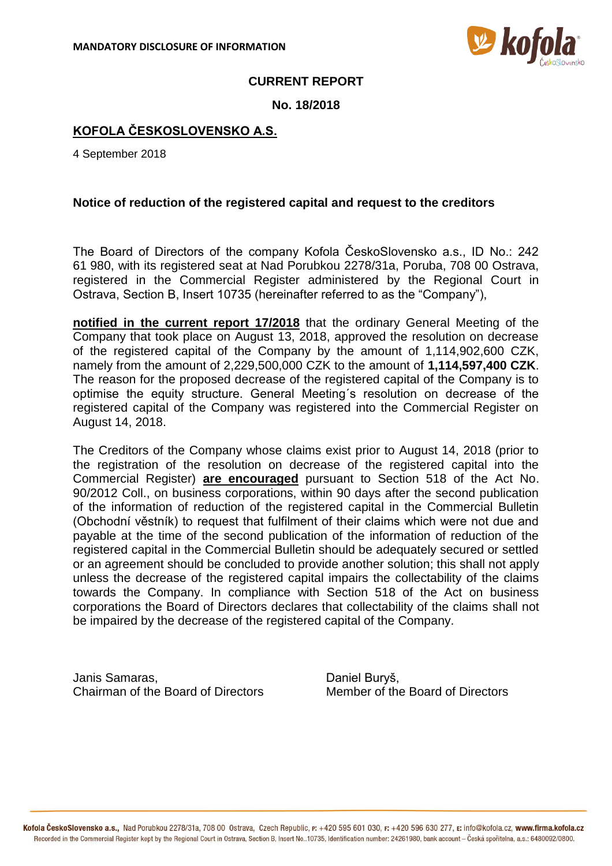

## **CURRENT REPORT**

## **No. 18/2018**

## **KOFOLA ČESKOSLOVENSKO A.S.**

4 September 2018

## **Notice of reduction of the registered capital and request to the creditors**

The Board of Directors of the company Kofola ČeskoSlovensko a.s., ID No.: 242 61 980, with its registered seat at Nad Porubkou 2278/31a, Poruba, 708 00 Ostrava, registered in the Commercial Register administered by the Regional Court in Ostrava, Section B, Insert 10735 (hereinafter referred to as the "Company"),

**notified in the current report 17/2018** that the ordinary General Meeting of the Company that took place on August 13, 2018, approved the resolution on decrease of the registered capital of the Company by the amount of 1,114,902,600 CZK, namely from the amount of 2,229,500,000 CZK to the amount of **1,114,597,400 CZK**. The reason for the proposed decrease of the registered capital of the Company is to optimise the equity structure. General Meeting´s resolution on decrease of the registered capital of the Company was registered into the Commercial Register on August 14, 2018.

The Creditors of the Company whose claims exist prior to August 14, 2018 (prior to the registration of the resolution on decrease of the registered capital into the Commercial Register) **are encouraged** pursuant to Section 518 of the Act No. 90/2012 Coll., on business corporations, within 90 days after the second publication of the information of reduction of the registered capital in the Commercial Bulletin (Obchodní věstník) to request that fulfilment of their claims which were not due and payable at the time of the second publication of the information of reduction of the registered capital in the Commercial Bulletin should be adequately secured or settled or an agreement should be concluded to provide another solution; this shall not apply unless the decrease of the registered capital impairs the collectability of the claims towards the Company. In compliance with Section 518 of the Act on business corporations the Board of Directors declares that collectability of the claims shall not be impaired by the decrease of the registered capital of the Company.

Janis Samaras, Daniel Buryš, Chairman of the Board of Directors Member of the Board of Directors